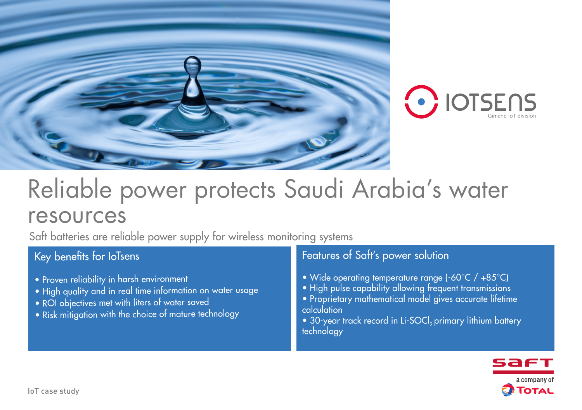



# Reliable power protects Saudi Arabia's water resources

Saft batteries are reliable power supply for wireless monitoring systems

## Key benefits for IoTsens

- Proven reliability in harsh environment
- High quality and in real time information on water usage
- ROI objectives met with liters of water saved
- Risk mitigation with the choice of mature technology

## Features of Saft's power solution

- Wide operating temperature range (-60°C / +85°C)
- High pulse capability allowing frequent transmissions
- Proprietary mathematical model gives accurate lifetime calculation
- 30-year track record in Li-SOCI<sub>p</sub> primary lithium battery technology